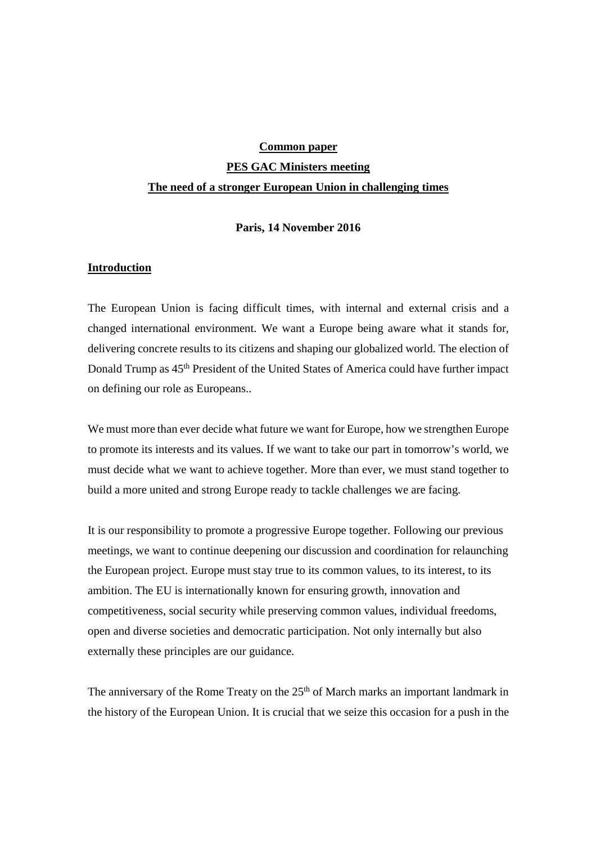# **Common paper**

# **PES GAC Ministers meeting The need of a stronger European Union in challenging times**

# **Paris, 14 November 2016**

# **Introduction**

The European Union is facing difficult times, with internal and external crisis and a changed international environment. We want a Europe being aware what it stands for, delivering concrete results to its citizens and shaping our globalized world. The election of Donald Trump as  $45<sup>th</sup>$  President of the United States of America could have further impact on defining our role as Europeans..

We must more than ever decide what future we want for Europe, how we strengthen Europe to promote its interests and its values. If we want to take our part in tomorrow's world, we must decide what we want to achieve together. More than ever, we must stand together to build a more united and strong Europe ready to tackle challenges we are facing.

It is our responsibility to promote a progressive Europe together. Following our previous meetings, we want to continue deepening our discussion and coordination for relaunching the European project. Europe must stay true to its common values, to its interest, to its ambition. The EU is internationally known for ensuring growth, innovation and competitiveness, social security while preserving common values, individual freedoms, open and diverse societies and democratic participation. Not only internally but also externally these principles are our guidance.

The anniversary of the Rome Treaty on the 25<sup>th</sup> of March marks an important landmark in the history of the European Union. It is crucial that we seize this occasion for a push in the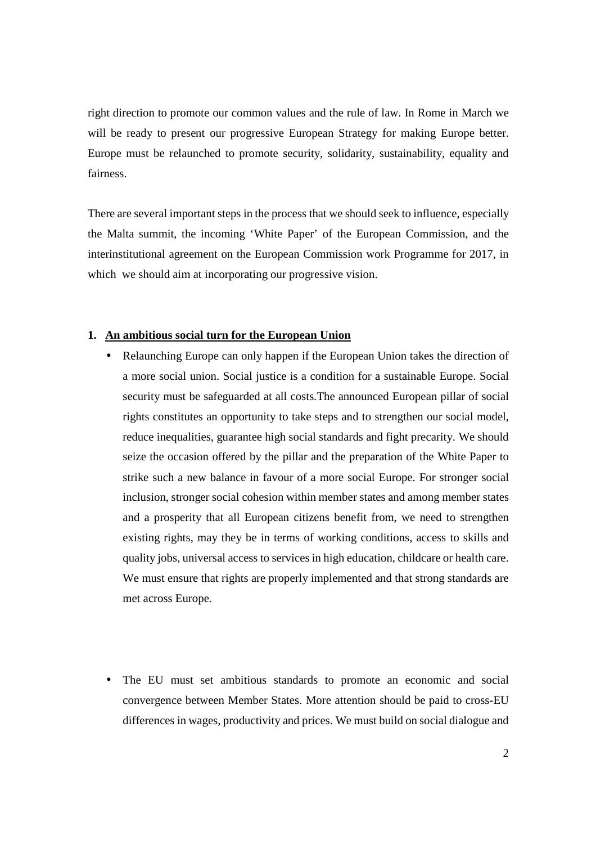right direction to promote our common values and the rule of law. In Rome in March we will be ready to present our progressive European Strategy for making Europe better. Europe must be relaunched to promote security, solidarity, sustainability, equality and fairness.

There are several important steps in the process that we should seek to influence, especially the Malta summit, the incoming 'White Paper' of the European Commission, and the interinstitutional agreement on the European Commission work Programme for 2017, in which we should aim at incorporating our progressive vision.

# **1. An ambitious social turn for the European Union**

- Relaunching Europe can only happen if the European Union takes the direction of a more social union. Social justice is a condition for a sustainable Europe. Social security must be safeguarded at all costs.The announced European pillar of social rights constitutes an opportunity to take steps and to strengthen our social model, reduce inequalities, guarantee high social standards and fight precarity. We should seize the occasion offered by the pillar and the preparation of the White Paper to strike such a new balance in favour of a more social Europe. For stronger social inclusion, stronger social cohesion within member states and among member states and a prosperity that all European citizens benefit from, we need to strengthen existing rights, may they be in terms of working conditions, access to skills and quality jobs, universal access to services in high education, childcare or health care. We must ensure that rights are properly implemented and that strong standards are met across Europe.
- The EU must set ambitious standards to promote an economic and social convergence between Member States. More attention should be paid to cross-EU differences in wages, productivity and prices. We must build on social dialogue and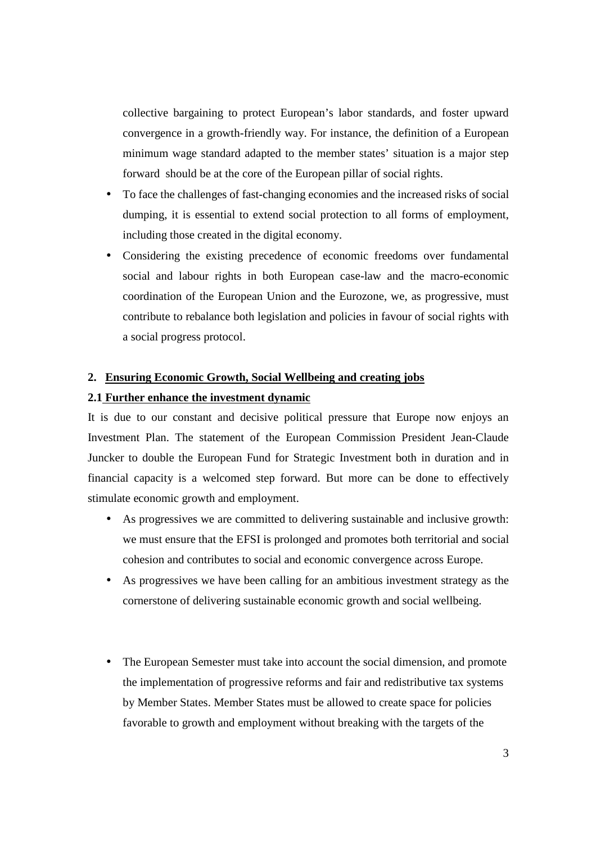collective bargaining to protect European's labor standards, and foster upward convergence in a growth-friendly way. For instance, the definition of a European minimum wage standard adapted to the member states' situation is a major step forward should be at the core of the European pillar of social rights.

- To face the challenges of fast-changing economies and the increased risks of social dumping, it is essential to extend social protection to all forms of employment, including those created in the digital economy.
- Considering the existing precedence of economic freedoms over fundamental social and labour rights in both European case-law and the macro-economic coordination of the European Union and the Eurozone, we, as progressive, must contribute to rebalance both legislation and policies in favour of social rights with a social progress protocol.

# **2. Ensuring Economic Growth, Social Wellbeing and creating jobs**

#### **2.1 Further enhance the investment dynamic**

It is due to our constant and decisive political pressure that Europe now enjoys an Investment Plan. The statement of the European Commission President Jean-Claude Juncker to double the European Fund for Strategic Investment both in duration and in financial capacity is a welcomed step forward. But more can be done to effectively stimulate economic growth and employment.

- As progressives we are committed to delivering sustainable and inclusive growth: we must ensure that the EFSI is prolonged and promotes both territorial and social cohesion and contributes to social and economic convergence across Europe.
- As progressives we have been calling for an ambitious investment strategy as the cornerstone of delivering sustainable economic growth and social wellbeing.
- The European Semester must take into account the social dimension, and promote the implementation of progressive reforms and fair and redistributive tax systems by Member States. Member States must be allowed to create space for policies favorable to growth and employment without breaking with the targets of the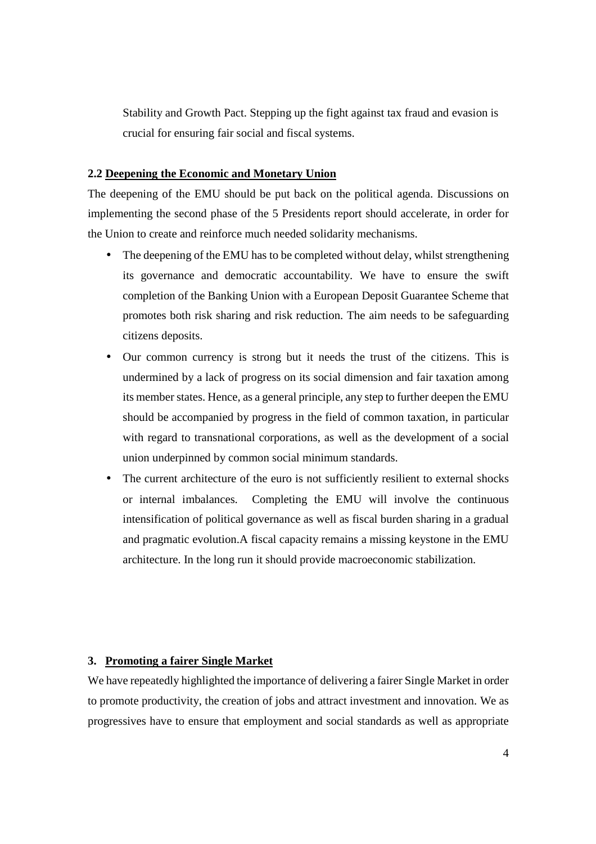Stability and Growth Pact. Stepping up the fight against tax fraud and evasion is crucial for ensuring fair social and fiscal systems.

## **2.2 Deepening the Economic and Monetary Union**

The deepening of the EMU should be put back on the political agenda. Discussions on implementing the second phase of the 5 Presidents report should accelerate, in order for the Union to create and reinforce much needed solidarity mechanisms.

- The deepening of the EMU has to be completed without delay, whilst strengthening its governance and democratic accountability. We have to ensure the swift completion of the Banking Union with a European Deposit Guarantee Scheme that promotes both risk sharing and risk reduction. The aim needs to be safeguarding citizens deposits.
- Our common currency is strong but it needs the trust of the citizens. This is undermined by a lack of progress on its social dimension and fair taxation among its member states. Hence, as a general principle, any step to further deepen the EMU should be accompanied by progress in the field of common taxation, in particular with regard to transnational corporations, as well as the development of a social union underpinned by common social minimum standards.
- The current architecture of the euro is not sufficiently resilient to external shocks or internal imbalances. Completing the EMU will involve the continuous intensification of political governance as well as fiscal burden sharing in a gradual and pragmatic evolution.A fiscal capacity remains a missing keystone in the EMU architecture. In the long run it should provide macroeconomic stabilization.

## **3. Promoting a fairer Single Market**

We have repeatedly highlighted the importance of delivering a fairer Single Market in order to promote productivity, the creation of jobs and attract investment and innovation. We as progressives have to ensure that employment and social standards as well as appropriate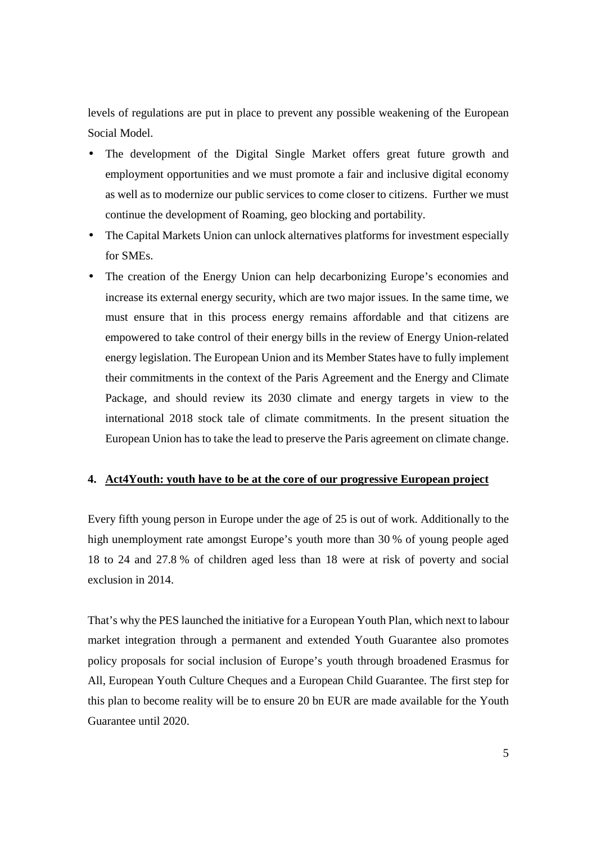levels of regulations are put in place to prevent any possible weakening of the European Social Model.

- The development of the Digital Single Market offers great future growth and employment opportunities and we must promote a fair and inclusive digital economy as well as to modernize our public services to come closer to citizens. Further we must continue the development of Roaming, geo blocking and portability.
- The Capital Markets Union can unlock alternatives platforms for investment especially for SMEs.
- The creation of the Energy Union can help decarbonizing Europe's economies and increase its external energy security, which are two major issues. In the same time, we must ensure that in this process energy remains affordable and that citizens are empowered to take control of their energy bills in the review of Energy Union-related energy legislation. The European Union and its Member States have to fully implement their commitments in the context of the Paris Agreement and the Energy and Climate Package, and should review its 2030 climate and energy targets in view to the international 2018 stock tale of climate commitments. In the present situation the European Union has to take the lead to preserve the Paris agreement on climate change.

# **4. Act4Youth: youth have to be at the core of our progressive European project**

Every fifth young person in Europe under the age of 25 is out of work. Additionally to the high unemployment rate amongst Europe's youth more than 30 % of young people aged 18 to 24 and 27.8 % of children aged less than 18 were at risk of poverty and social exclusion in 2014.

That's why the PES launched the initiative for a European Youth Plan, which next to labour market integration through a permanent and extended Youth Guarantee also promotes policy proposals for social inclusion of Europe's youth through broadened Erasmus for All, European Youth Culture Cheques and a European Child Guarantee. The first step for this plan to become reality will be to ensure 20 bn EUR are made available for the Youth Guarantee until 2020.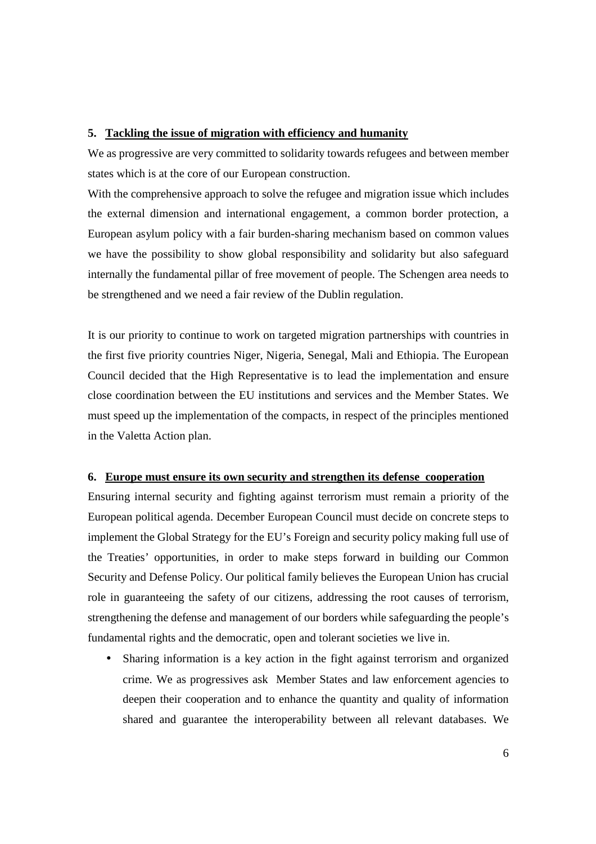# **5. Tackling the issue of migration with efficiency and humanity**

We as progressive are very committed to solidarity towards refugees and between member states which is at the core of our European construction.

With the comprehensive approach to solve the refugee and migration issue which includes the external dimension and international engagement, a common border protection, a European asylum policy with a fair burden-sharing mechanism based on common values we have the possibility to show global responsibility and solidarity but also safeguard internally the fundamental pillar of free movement of people. The Schengen area needs to be strengthened and we need a fair review of the Dublin regulation.

It is our priority to continue to work on targeted migration partnerships with countries in the first five priority countries Niger, Nigeria, Senegal, Mali and Ethiopia. The European Council decided that the High Representative is to lead the implementation and ensure close coordination between the EU institutions and services and the Member States. We must speed up the implementation of the compacts, in respect of the principles mentioned in the Valetta Action plan.

### **6. Europe must ensure its own security and strengthen its defense cooperation**

Ensuring internal security and fighting against terrorism must remain a priority of the European political agenda. December European Council must decide on concrete steps to implement the Global Strategy for the EU's Foreign and security policy making full use of the Treaties' opportunities, in order to make steps forward in building our Common Security and Defense Policy. Our political family believes the European Union has crucial role in guaranteeing the safety of our citizens, addressing the root causes of terrorism, strengthening the defense and management of our borders while safeguarding the people's fundamental rights and the democratic, open and tolerant societies we live in.

• Sharing information is a key action in the fight against terrorism and organized crime. We as progressives ask Member States and law enforcement agencies to deepen their cooperation and to enhance the quantity and quality of information shared and guarantee the interoperability between all relevant databases. We